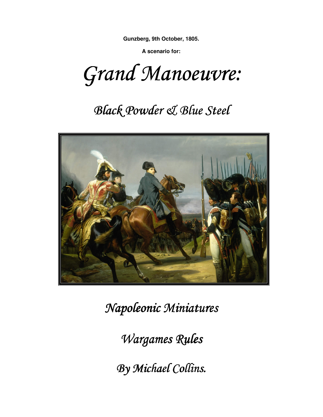**Gunzberg, 9th October, 1805.** 

**A scenario for:** 

Grand Manoeuvre:

# **Black Powder & Blue Steel**



 $Napoleonic$  *Miniatures* 

*Wargames Rules* 

*By Michael Collins. Collins.*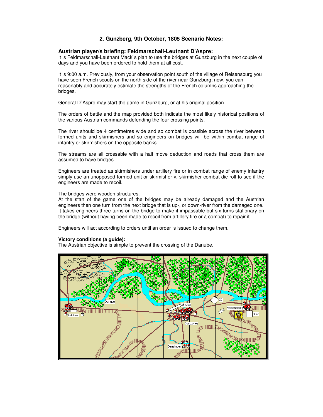# **2. Gunzberg, 9th October, 1805 Scenario Notes:**

#### **Austrian player/s briefing: Feldmarschall-Leutnant D'Aspre:**

It is Feldmarschall-Leutnant Mack`s plan to use the bridges at Gunzburg in the next couple of days and you have been ordered to hold them at all cost.

It is 9:00 a.m. Previously, from your observation point south of the village of Reisensburg you have seen French scouts on the north side of the river near Gunzburg; now, you can reasonably and accurately estimate the strengths of the French columns approaching the bridges.

General D`Aspre may start the game in Gunzburg, or at his original position.

The orders of battle and the map provided both indicate the most likely historical positions of the various Austrian commands defending the four crossing points.

The river should be 4 centimetres wide and so combat is possible across the river between formed units and skirmishers and so engineers on bridges will be within combat range of infantry or skirmishers on the opposite banks.

The streams are all crossable with a half move deduction and roads that cross them are assumed to have bridges.

Engineers are treated as skirmishers under artillery fire or in combat range of enemy infantry simply use an unopposed formed unit or skirmisher v. skirmisher combat die roll to see if the engineers are made to recoil.

The bridges were wooden structures.

At the start of the game one of the bridges may be already damaged and the Austrian engineers then one turn from the next bridge that is up-, or down-river from the damaged one. It takes engineers three turns on the bridge to make it impassable but six turns stationary on the bridge (without having been made to recoil from artillery fire or a combat) to repair it.

Engineers will act according to orders until an order is issued to change them.

#### **Victory conditions (a guide):**

The Austrian objective is simple to prevent the crossing of the Danube.

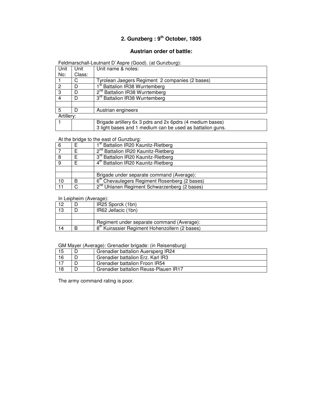# **2. Gunzberg : 9th October, 1805**

# **Austrian order of battle:**

| Feldmarschall-Leutnant D'Aspre (Good). (at Gunzburg): |  |  |
|-------------------------------------------------------|--|--|
|-------------------------------------------------------|--|--|

| Unit       | Unit   | Unit name & notes:                                        |
|------------|--------|-----------------------------------------------------------|
| No:        | Class: |                                                           |
|            |        | Tyrolean Jaegers Regiment 2 companies (2 bases)           |
| 0          | D      | <sup>st</sup> Battalion IR38 Wurrtemberg                  |
| 3          |        | 2 <sup>nd</sup> Battalion IR38 Wurrtemberg                |
|            | D      | 3 <sup>rd</sup> Battalion IR38 Wurrtemberg                |
|            |        |                                                           |
| 5          | D      | Austrian engineers                                        |
| Artillery: |        |                                                           |
|            |        | Brigade artillery 6x 3 pdrs and 2x 6pdrs (4 medium bases) |
|            |        | 3 light bases and 1 medium can be used as battalion guns. |

# At the bridge to the east of Gunzburg:

| 6  |   | st Battalion IR20 Kaunitz-Rietberg                        |
|----|---|-----------------------------------------------------------|
|    |   | 2 <sup>nd</sup> Battalion IR20 Kaunitz-Rietberg           |
|    |   | 3 <sup>rd</sup> Battalion IR20 Kaunitz-Rietberg           |
| 9  |   | 4 <sup>th</sup> Battalion IR20 Kaunitz-Rietberg           |
|    |   |                                                           |
|    |   | Brigade under separate command (Average):                 |
| 10 | В | 6 <sup>th</sup> Chevaulegers Regiment Rosenberg (2 bases) |
|    |   | 2 <sup>nd</sup> Uhlanen Regiment Schwarzenberg (2 bases)  |

### In Leipheim (Average):

| 12 | IR25 Sporck (1bn)                                          |
|----|------------------------------------------------------------|
| 13 | IR62 Jellacic (1bn)                                        |
|    |                                                            |
|    | Regiment under separate command (Average):                 |
| 14 | 8 <sup>th</sup> Kuirassier Regiment Hohenzollern (2 bases) |

## GM Mayer (Average): Grenadier brigade: (in Reisensburg)

| -15 | . .<br>Grenadier battalion Auersperg IR24 |
|-----|-------------------------------------------|
|     |                                           |
| 16  | Grenadier battalion Erz. Karl IR3         |
|     | Grenadier battalion Froon IR54            |
|     | Grenadier battalion Reuss-Plauen IR17     |

The army command rating is poor.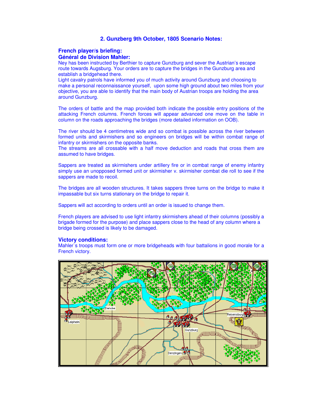#### **2. Gunzberg 9th October, 1805 Scenario Notes:**

### **French player/s briefing: Général de Division Mahler:**

Ney has been instructed by Berthier to capture Gunzburg and sever the Austrian's escape route towards Augsburg. Your orders are to capture the bridges in the Gunzburg area and establish a bridgehead there.

Light cavalry patrols have informed you of much activity around Gunzburg and choosing to make a personal reconnaissance yourself, upon some high ground about two miles from your objective, you are able to identify that the main body of Austrian troops are holding the area around Gunzburg.

The orders of battle and the map provided both indicate the possible entry positions of the attacking French columns. French forces will appear advanced one move on the table in column on the roads approaching the bridges (more detailed information on OOB).

The river should be 4 centimetres wide and so combat is possible across the river between formed units and skirmishers and so engineers on bridges will be within combat range of infantry or skirmishers on the opposite banks.

The streams are all crossable with a half move deduction and roads that cross them are assumed to have bridges.

Sappers are treated as skirmishers under artillery fire or in combat range of enemy infantry simply use an unopposed formed unit or skirmisher v. skirmisher combat die roll to see if the sappers are made to recoil.

The bridges are all wooden structures. It takes sappers three turns on the bridge to make it impassable but six turns stationary on the bridge to repair it.

Sappers will act according to orders until an order is issued to change them.

French players are advised to use light infantry skirmishers ahead of their columns (possibly a brigade formed for the purpose) and place sappers close to the head of any column where a bridge being crossed is likely to be damaged.

#### **Victory conditions:**

Mahler`s troops must form one or more bridgeheads with four battalions in good morale for a French victory.

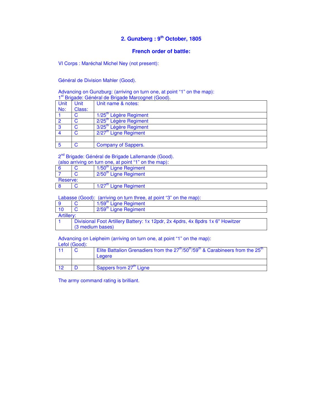# **2. Gunzberg : 9th October, 1805**

### **French order of battle:**

VI Corps : Maréchal Michel Ney (not present):

Général de Division Mahler (Good).

Advancing on Gunzburg: (arriving on turn one, at point "1" on the map): 1<sup>st</sup> Brigade: Général de Brigade Marcognet (Good).

| Unit | <b>Unit</b> | Unit name & notes:                 |
|------|-------------|------------------------------------|
| No:  | Class:      |                                    |
|      | C           | 1/25 <sup>th</sup> Légère Regiment |
|      | C           | 2/25 <sup>th</sup> Légère Regiment |
| 3    | C           | 3/25 <sup>th</sup> Légère Regiment |
|      | C           | $2/27th$ Ligne Regiment            |
|      |             |                                    |
|      | C           | Company of Sappers.                |

2<sup>nd</sup> Brigade: Général de Brigade Lallemande (Good).

|          | (also arriving on turn one, at point "1" on the map): |                                   |  |
|----------|-------------------------------------------------------|-----------------------------------|--|
|          |                                                       | $1/50m$ Ligne Regiment            |  |
|          |                                                       | 2/50 <sup>th</sup> Ligne Regiment |  |
| Reserve: |                                                       |                                   |  |
|          |                                                       | $1/27m$ Ligne Regiment            |  |

Labasse (Good): (arriving on turn three, at point "3" on the map):

| l 9        |                                                                                | 1/59 <sup>th</sup> Ligne Regiment |  |
|------------|--------------------------------------------------------------------------------|-----------------------------------|--|
| 10         |                                                                                | 2/59 <sup>th</sup> Ligne Regiment |  |
| Artillery: |                                                                                |                                   |  |
|            | Divisional Foot Artillery Battery: 1x 12pdr, 2x 4pdrs, 4x 8pdrs 1x 6" Howitzer |                                   |  |
|            | (3 medium bases)                                                               |                                   |  |

Advancing on Leipheim (arriving on turn one, at point "1" on the map):

Lefol (Good):

|  | Elite Battalion Grenadiers from the $27^{\text{th}}/50^{\text{th}}/59^{\text{th}}$ & Carabineers from the $25^{\text{th}}$<br>Leaere |
|--|--------------------------------------------------------------------------------------------------------------------------------------|
|  |                                                                                                                                      |
|  | Sappers from 27 <sup>th</sup> Ligne                                                                                                  |

The army command rating is brilliant.